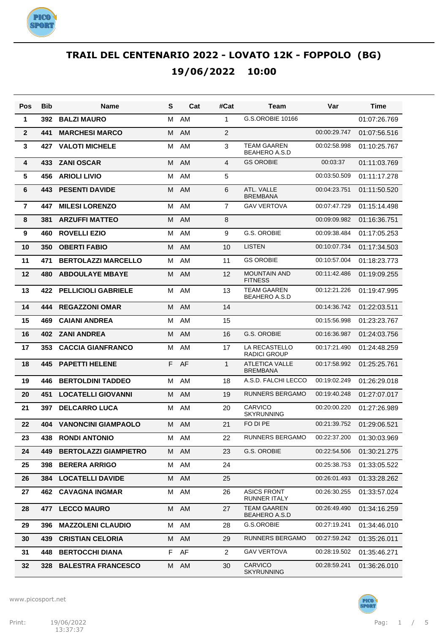

| Pos            | Bib | Name                         | S  | Cat  | #Cat           | Team                                       | Var          | Time         |
|----------------|-----|------------------------------|----|------|----------------|--------------------------------------------|--------------|--------------|
| $\mathbf{1}$   | 392 | <b>BALZI MAURO</b>           | м  | AM   | 1              | G.S.OROBIE 10166                           |              | 01:07:26.769 |
| $\overline{2}$ | 441 | <b>MARCHESI MARCO</b>        | м  | AM   | 2              |                                            | 00:00:29.747 | 01:07:56.516 |
| 3              | 427 | <b>VALOTI MICHELE</b>        | м  | AM   | 3              | <b>TEAM GAAREN</b><br><b>BEAHERO A.S.D</b> | 00:02:58.998 | 01:10:25.767 |
| 4              | 433 | <b>ZANI OSCAR</b>            | M  | AM   | 4              | <b>GS OROBIE</b>                           | 00:03:37     | 01:11:03.769 |
| 5              | 456 | <b>ARIOLI LIVIO</b>          | м  | AM   | 5              |                                            | 00:03:50.509 | 01:11:17.278 |
| 6              | 443 | <b>PESENTI DAVIDE</b>        | M  | AM   | 6              | ATL. VALLE<br><b>BREMBANA</b>              | 00:04:23.751 | 01:11:50.520 |
| $\overline{7}$ | 447 | <b>MILESI LORENZO</b>        | м  | AM   | $\overline{7}$ | <b>GAV VERTOVA</b>                         | 00:07:47.729 | 01:15:14.498 |
| 8              | 381 | <b>ARZUFFI MATTEO</b>        | M  | AM   | 8              |                                            | 00:09:09.982 | 01:16:36.751 |
| 9              | 460 | <b>ROVELLI EZIO</b>          | м  | AM   | 9              | G.S. OROBIE                                | 00:09:38.484 | 01:17:05.253 |
| 10             | 350 | <b>OBERTI FABIO</b>          | м  | AM   | 10             | <b>LISTEN</b>                              | 00:10:07.734 | 01:17:34.503 |
| 11             | 471 | <b>BERTOLAZZI MARCELLO</b>   | м  | AM   | 11             | <b>GS OROBIE</b>                           | 00:10:57.004 | 01:18:23.773 |
| 12             | 480 | <b>ABDOULAYE MBAYE</b>       | м  | AM   | 12             | <b>MOUNTAIN AND</b><br><b>FITNESS</b>      | 00:11:42.486 | 01:19:09.255 |
| 13             | 422 | <b>PELLICIOLI GABRIELE</b>   | м  | AM   | 13             | <b>TEAM GAAREN</b><br><b>BEAHERO A.S.D</b> | 00:12:21.226 | 01:19:47.995 |
| 14             | 444 | <b>REGAZZONI OMAR</b>        | M  | AM   | 14             |                                            | 00:14:36.742 | 01:22:03.511 |
| 15             | 469 | <b>CAIANI ANDREA</b>         | м  | AM   | 15             |                                            | 00:15:56.998 | 01:23:23.767 |
| 16             | 402 | <b>ZANI ANDREA</b>           | M  | AM   | 16             | <b>G.S. OROBIE</b>                         | 00:16:36.987 | 01:24:03.756 |
| 17             | 353 | <b>CACCIA GIANFRANCO</b>     | м  | AM   | 17             | LA RECASTELLO<br><b>RADICI GROUP</b>       | 00:17:21.490 | 01:24:48.259 |
| 18             | 445 | <b>PAPETTI HELENE</b>        | F. | AF   | $\mathbf{1}$   | <b>ATLETICA VALLE</b><br><b>BREMBANA</b>   | 00:17:58.992 | 01:25:25.761 |
| 19             | 446 | <b>BERTOLDINI TADDEO</b>     | М  | AM   | 18             | A.S.D. FALCHI LECCO                        | 00:19:02.249 | 01:26:29.018 |
| 20             | 451 | <b>LOCATELLI GIOVANNI</b>    | M  | AM   | 19             | <b>RUNNERS BERGAMO</b>                     | 00:19:40.248 | 01:27:07.017 |
| 21             | 397 | <b>DELCARRO LUCA</b>         | м  | AM   | 20             | <b>CARVICO</b><br><b>SKYRUNNING</b>        | 00:20:00.220 | 01:27:26.989 |
| 22             | 404 | <b>VANONCINI GIAMPAOLO</b>   | M  | AM   | 21             | FO DI PE                                   | 00:21:39.752 | 01:29:06.521 |
| 23             | 438 | <b>RONDI ANTONIO</b>         | M  | AM   | 22             | RUNNERS BERGAMO                            | 00:22:37.200 | 01:30:03.969 |
| 24             | 449 | <b>BERTOLAZZI GIAMPIETRO</b> |    | M AM | 23             | G.S. OROBIE                                | 00:22:54.506 | 01:30:21.275 |
| 25             | 398 | <b>BERERA ARRIGO</b>         | M  | AM   | 24             |                                            | 00:25:38.753 | 01:33:05.522 |
| 26             | 384 | <b>LOCATELLI DAVIDE</b>      | M  | AM   | 25             |                                            | 00:26:01.493 | 01:33:28.262 |
| 27             |     | <b>462 CAVAGNA INGMAR</b>    | м  | AM   | 26             | <b>ASICS FRONT</b><br><b>RUNNER ITALY</b>  | 00:26:30.255 | 01:33:57.024 |
| 28             | 477 | <b>LECCO MAURO</b>           | M  | AM   | 27             | <b>TEAM GAAREN</b><br><b>BEAHERO A.S.D</b> | 00:26:49.490 | 01:34:16.259 |
| 29             | 396 | <b>MAZZOLENI CLAUDIO</b>     |    | M AM | 28             | G.S.OROBIE                                 | 00:27:19.241 | 01:34:46.010 |
| 30             | 439 | <b>CRISTIAN CELORIA</b>      |    | M AM | 29             | <b>RUNNERS BERGAMO</b>                     | 00:27:59.242 | 01:35:26.011 |
| 31             | 448 | <b>BERTOCCHI DIANA</b>       |    | F AF | $\overline{2}$ | <b>GAV VERTOVA</b>                         | 00:28:19.502 | 01:35:46.271 |
| 32             | 328 | <b>BALESTRA FRANCESCO</b>    |    | M AM | 30             | <b>CARVICO</b><br><b>SKYRUNNING</b>        | 00:28:59.241 | 01:36:26.010 |

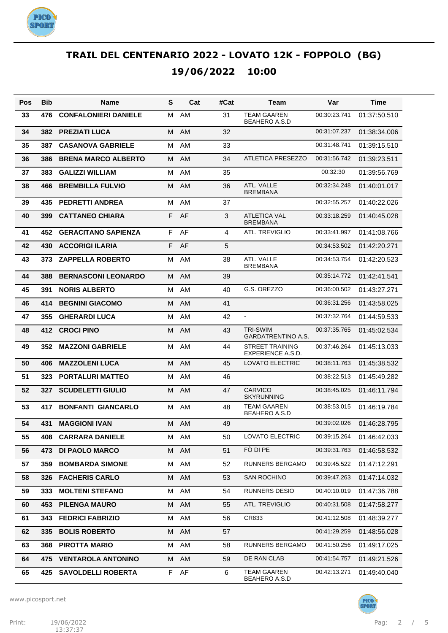

| Pos | Bib | Name                        | S  | Cat       | #Cat | Team                                        | Var          | Time         |
|-----|-----|-----------------------------|----|-----------|------|---------------------------------------------|--------------|--------------|
| 33  | 476 | <b>CONFALONIERI DANIELE</b> | м  | AM        | 31   | <b>TEAM GAAREN</b><br><b>BEAHERO A.S.D</b>  | 00:30:23.741 | 01:37:50.510 |
| 34  | 382 | <b>PREZIATI LUCA</b>        | M  | AM        | 32   |                                             | 00:31:07.237 | 01:38:34.006 |
| 35  | 387 | <b>CASANOVA GABRIELE</b>    | м  | AM        | 33   |                                             | 00:31:48.741 | 01:39:15.510 |
| 36  | 386 | <b>BRENA MARCO ALBERTO</b>  | М  | AM        | 34   | <b>ATLETICA PRESEZZO</b>                    | 00:31:56.742 | 01:39:23.511 |
| 37  | 383 | <b>GALIZZI WILLIAM</b>      | м  | AM        | 35   |                                             | 00:32:30     | 01:39:56.769 |
| 38  | 466 | <b>BREMBILLA FULVIO</b>     | M  | AM        | 36   | ATL. VALLE<br><b>BREMBANA</b>               | 00:32:34.248 | 01:40:01.017 |
| 39  | 435 | <b>PEDRETTI ANDREA</b>      | M  | AM        | 37   |                                             | 00:32:55.257 | 01:40:22.026 |
| 40  | 399 | <b>CATTANEO CHIARA</b>      | F. | AF        | 3    | <b>ATLETICA VAL</b><br><b>BREMBANA</b>      | 00:33:18.259 | 01:40:45.028 |
| 41  | 452 | <b>GERACITANO SAPIENZA</b>  | F. | AF        | 4    | ATL. TREVIGLIO                              | 00:33:41.997 | 01:41:08.766 |
| 42  | 430 | <b>ACCORIGI ILARIA</b>      | F  | AF        | 5    |                                             | 00:34:53.502 | 01:42:20.271 |
| 43  | 373 | <b>ZAPPELLA ROBERTO</b>     | м  | AM        | 38   | ATL. VALLE<br><b>BREMBANA</b>               | 00:34:53.754 | 01:42:20.523 |
| 44  | 388 | <b>BERNASCONI LEONARDO</b>  | M  | AM        | 39   |                                             | 00:35:14.772 | 01:42:41.541 |
| 45  | 391 | <b>NORIS ALBERTO</b>        | м  | AM        | 40   | G.S. OREZZO                                 | 00:36:00.502 | 01:43:27.271 |
| 46  | 414 | <b>BEGNINI GIACOMO</b>      | M  | AM        | 41   |                                             | 00:36:31.256 | 01:43:58.025 |
| 47  | 355 | <b>GHERARDI LUCA</b>        | м  | AM        | 42   | $\blacksquare$                              | 00:37:32.764 | 01:44:59.533 |
| 48  | 412 | <b>CROCI PINO</b>           | M  | AM        | 43   | <b>TRI-SWIM</b><br>GARDATRENTINO A.S.       | 00:37:35.765 | 01:45:02.534 |
| 49  | 352 | <b>MAZZONI GABRIELE</b>     | M  | <b>AM</b> | 44   | <b>STREET TRAINING</b><br>EXPERIENCE A.S.D. | 00:37:46.264 | 01:45:13.033 |
| 50  | 406 | <b>MAZZOLENI LUCA</b>       | M  | AM        | 45   | <b>LOVATO ELECTRIC</b>                      | 00:38:11.763 | 01:45:38.532 |
| 51  | 323 | <b>PORTALURI MATTEO</b>     | M  | AM        | 46   |                                             | 00:38:22.513 | 01:45:49.282 |
| 52  | 327 | <b>SCUDELETTI GIULIO</b>    | M  | AM        | 47   | <b>CARVICO</b><br><b>SKYRUNNING</b>         | 00:38:45.025 | 01:46:11.794 |
| 53  | 417 | <b>BONFANTI GIANCARLO</b>   | M  | AM        | 48   | <b>TEAM GAAREN</b><br><b>BEAHERO A.S.D</b>  | 00:38:53.015 | 01:46:19.784 |
| 54  | 431 | <b>MAGGIONI IVAN</b>        | M  | AM        | 49   |                                             | 00:39:02.026 | 01:46:28.795 |
| 55  | 408 | <b>CARRARA DANIELE</b>      | M  | AM        | 50   | <b>LOVATO ELECTRIC</b>                      | 00:39:15.264 | 01:46:42.033 |
| 56  | 473 | <b>DI PAOLO MARCO</b>       | М  | AM        | 51   | FÒ DI PE                                    | 00:39:31.763 | 01:46:58.532 |
| 57  | 359 | <b>BOMBARDA SIMONE</b>      | М  | AM        | 52   | RUNNERS BERGAMO                             | 00:39:45.522 | 01:47:12.291 |
| 58  | 326 | <b>FACHERIS CARLO</b>       | M  | AM        | 53   | SAN ROCHINO                                 | 00:39:47.263 | 01:47:14.032 |
| 59  | 333 | <b>MOLTENI STEFANO</b>      | М  | AM        | 54   | <b>RUNNERS DESIO</b>                        | 00:40:10.019 | 01:47:36.788 |
| 60  | 453 | <b>PILENGA MAURO</b>        | M  | AM        | 55   | ATL. TREVIGLIO                              | 00:40:31.508 | 01:47:58.277 |
| 61  | 343 | <b>FEDRICI FABRIZIO</b>     | М  | AM        | 56   | CR833                                       | 00:41:12.508 | 01:48:39.277 |
| 62  | 335 | <b>BOLIS ROBERTO</b>        | M  | AM        | 57   |                                             | 00:41:29.259 | 01:48:56.028 |
| 63  | 368 | <b>PIROTTA MARIO</b>        | М  | AM        | 58   | RUNNERS BERGAMO                             | 00:41:50.256 | 01:49:17.025 |
| 64  | 475 | <b>VENTAROLA ANTONINO</b>   | M  | AM        | 59   | DE RAN CLAB                                 | 00:41:54.757 | 01:49:21.526 |
| 65  | 425 | <b>SAVOLDELLI ROBERTA</b>   | F. | AF        | 6    | <b>TEAM GAAREN</b><br>BEAHERO A.S.D         | 00:42:13.271 | 01:49:40.040 |

www.picosport.net

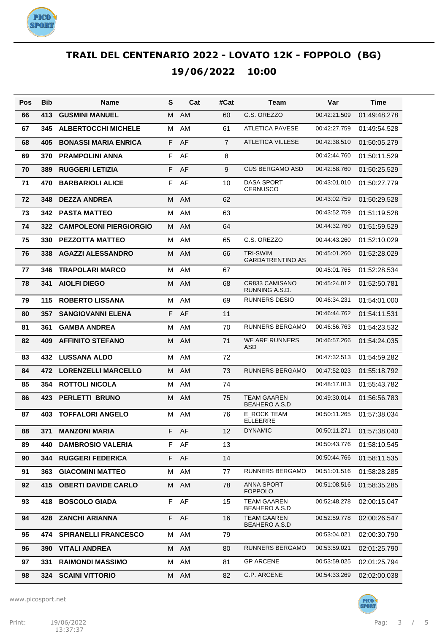

| Pos | <b>Bib</b> | Name                          | S  | Cat  | #Cat           | Team                                       | Var          | Time         |
|-----|------------|-------------------------------|----|------|----------------|--------------------------------------------|--------------|--------------|
| 66  | 413        | <b>GUSMINI MANUEL</b>         | М  | AM   | 60             | G.S. OREZZO                                | 00:42:21.509 | 01:49:48.278 |
| 67  | 345        | <b>ALBERTOCCHI MICHELE</b>    | м  | AM   | 61             | <b>ATLETICA PAVESE</b>                     | 00:42:27.759 | 01:49:54.528 |
| 68  | 405        | <b>BONASSI MARIA ENRICA</b>   | F  | AF   | $\overline{7}$ | <b>ATLETICA VILLESE</b>                    | 00:42:38.510 | 01:50:05.279 |
| 69  | 370        | <b>PRAMPOLINI ANNA</b>        | F  | AF   | 8              |                                            | 00:42:44.760 | 01:50:11.529 |
| 70  | 389        | <b>RUGGERI LETIZIA</b>        | F  | AF   | 9              | <b>CUS BERGAMO ASD</b>                     | 00:42:58.760 | 01:50:25.529 |
| 71  | 470        | <b>BARBARIOLI ALICE</b>       | F  | AF   | 10             | DASA SPORT<br><b>CERNUSCO</b>              | 00:43:01.010 | 01:50:27.779 |
| 72  | 348        | <b>DEZZA ANDREA</b>           | M  | AM   | 62             |                                            | 00:43:02.759 | 01:50:29.528 |
| 73  | 342        | <b>PASTA MATTEO</b>           | м  | AM   | 63             |                                            | 00:43:52.759 | 01:51:19.528 |
| 74  | 322        | <b>CAMPOLEONI PIERGIORGIO</b> | М  | AM   | 64             |                                            | 00:44:32.760 | 01:51:59.529 |
| 75  | 330        | <b>PEZZOTTA MATTEO</b>        | м  | AM   | 65             | G.S. OREZZO                                | 00:44:43.260 | 01:52:10.029 |
| 76  | 338        | <b>AGAZZI ALESSANDRO</b>      | M  | AM   | 66             | <b>TRI-SWIM</b><br><b>GARDATRENTINO AS</b> | 00:45:01.260 | 01:52:28.029 |
| 77  | 346        | <b>TRAPOLARI MARCO</b>        | м  | AM   | 67             |                                            | 00:45:01.765 | 01:52:28.534 |
| 78  | 341        | <b>AIOLFI DIEGO</b>           | M  | AM   | 68             | CR833 CAMISANO<br>RUNNING A.S.D.           | 00:45:24.012 | 01:52:50.781 |
| 79  | 115        | <b>ROBERTO LISSANA</b>        | м  | AM   | 69             | <b>RUNNERS DESIO</b>                       | 00:46:34.231 | 01:54:01.000 |
| 80  | 357        | <b>SANGIOVANNI ELENA</b>      | F. | AF   | 11             |                                            | 00:46:44.762 | 01:54:11.531 |
| 81  | 361        | <b>GAMBA ANDREA</b>           | м  | AM   | 70             | <b>RUNNERS BERGAMO</b>                     | 00:46:56.763 | 01:54:23.532 |
| 82  | 409        | <b>AFFINITO STEFANO</b>       | M  | AM   | 71             | <b>WE ARE RUNNERS</b><br>ASD               | 00:46:57.266 | 01:54:24.035 |
| 83  | 432        | <b>LUSSANA ALDO</b>           | м  | AM   | 72             |                                            | 00:47:32.513 | 01:54:59.282 |
| 84  | 472        | <b>LORENZELLI MARCELLO</b>    | М  | AM   | 73             | <b>RUNNERS BERGAMO</b>                     | 00:47:52.023 | 01:55:18.792 |
| 85  | 354        | <b>ROTTOLI NICOLA</b>         | м  | AM   | 74             |                                            | 00:48:17.013 | 01:55:43.782 |
| 86  | 423        | <b>PERLETTI BRUNO</b>         | M  | AM   | 75             | <b>TEAM GAAREN</b><br><b>BEAHERO A.S.D</b> | 00:49:30.014 | 01:56:56.783 |
| 87  | 403        | <b>TOFFALORI ANGELO</b>       | м  | AM   | 76             | E ROCK TEAM<br><b>ELLEERRE</b>             | 00:50:11.265 | 01:57:38.034 |
| 88  | 371        | <b>MANZONI MARIA</b>          | F. | AF   | 12             | <b>DYNAMIC</b>                             | 00:50:11.271 | 01:57:38.040 |
| 89  | 440        | <b>DAMBROSIO VALERIA</b>      |    | F AF | 13             |                                            | 00:50:43.776 | 01:58:10.545 |
| 90  | 344        | <b>RUGGERI FEDERICA</b>       |    | F AF | 14             |                                            | 00:50:44.766 | 01:58:11.535 |
| 91  | 363        | <b>GIACOMINI MATTEO</b>       | M  | AM   | 77             | RUNNERS BERGAMO                            | 00:51:01.516 | 01:58:28.285 |
| 92  | 415        | <b>OBERTI DAVIDE CARLO</b>    |    | M AM | 78             | ANNA SPORT<br><b>FOPPOLO</b>               | 00:51:08.516 | 01:58:35.285 |
| 93  | 418        | <b>BOSCOLO GIADA</b>          | F. | AF   | 15             | <b>TEAM GAAREN</b><br>BEAHERO A.S.D        | 00:52:48.278 | 02:00:15.047 |
| 94  | 428        | <b>ZANCHI ARIANNA</b>         |    | F AF | 16             | <b>TEAM GAAREN</b><br>BEAHERO A.S.D        | 00:52:59.778 | 02:00:26.547 |
| 95  | 474        | <b>SPIRANELLI FRANCESCO</b>   |    | M AM | 79             |                                            | 00:53:04.021 | 02:00:30.790 |
| 96  | 390        | <b>VITALI ANDREA</b>          |    | M AM | 80             | <b>RUNNERS BERGAMO</b>                     | 00:53:59.021 | 02:01:25.790 |
| 97  | 331        | <b>RAIMONDI MASSIMO</b>       |    | M AM | 81             | <b>GP ARCENE</b>                           | 00:53:59.025 | 02:01:25.794 |
| 98  |            | 324 SCAINI VITTORIO           |    | M AM | 82             | G.P. ARCENE                                | 00:54:33.269 | 02:02:00.038 |

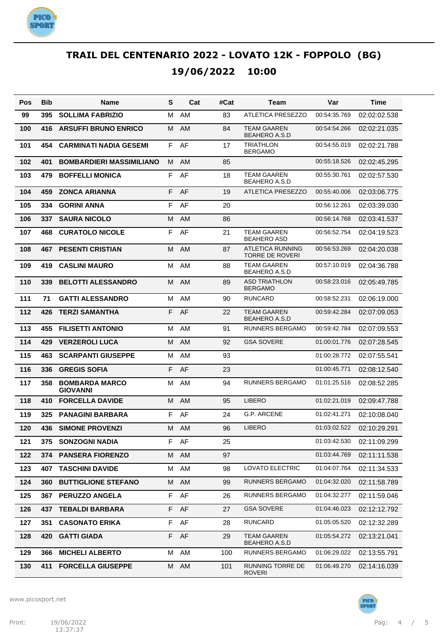

| Pos | <b>Bib</b> | Name                                     | S  | Cat       | #Cat | Team                                       | Var          | Time         |
|-----|------------|------------------------------------------|----|-----------|------|--------------------------------------------|--------------|--------------|
| 99  | 395        | <b>SOLLIMA FABRIZIO</b>                  | М  | AM        | 83   | <b>ATLETICA PRESEZZO</b>                   | 00:54:35.769 | 02:02:02.538 |
| 100 | 416        | <b>ARSUFFI BRUNO ENRICO</b>              | М  | AM        | 84   | <b>TEAM GAAREN</b><br><b>BEAHERO A.S.D</b> | 00:54:54.266 | 02:02:21.035 |
| 101 | 454        | <b>CARMINATI NADIA GESEMI</b>            | F  | AF        | 17   | <b>TRIATHLON</b><br><b>BERGAMO</b>         | 00:54:55.019 | 02:02:21.788 |
| 102 | 401        | <b>BOMBARDIERI MASSIMILIANO</b>          | М  | <b>AM</b> | 85   |                                            | 00:55:18.526 | 02:02:45.295 |
| 103 | 479        | <b>BOFFELLI MONICA</b>                   | F  | AF        | 18   | <b>TEAM GAAREN</b><br><b>BEAHERO A.S.D</b> | 00:55:30.761 | 02:02:57.530 |
| 104 | 459        | <b>ZONCA ARIANNA</b>                     | F  | AF        | 19   | <b>ATLETICA PRESEZZO</b>                   | 00:55:40.006 | 02:03:06.775 |
| 105 | 334        | <b>GORINI ANNA</b>                       | F  | AF        | 20   |                                            | 00:56:12.261 | 02:03:39.030 |
| 106 | 337        | <b>SAURA NICOLO</b>                      | М  | AM        | 86   |                                            | 00:56:14.768 | 02:03:41.537 |
| 107 | 468        | <b>CURATOLO NICOLE</b>                   | F  | AF        | 21   | <b>TEAM GAAREN</b><br><b>BEAHERO ASD</b>   | 00:56:52.754 | 02:04:19.523 |
| 108 | 467        | <b>PESENTI CRISTIAN</b>                  | M  | AM        | 87   | ATLETICA RUNNING<br><b>TORRE DE ROVERI</b> | 00:56:53.269 | 02:04:20.038 |
| 109 | 419        | <b>CASLINI MAURO</b>                     | М  | <b>AM</b> | 88   | <b>TEAM GAAREN</b><br><b>BEAHERO A.S.D</b> | 00:57:10.019 | 02:04:36.788 |
| 110 | 339        | <b>BELOTTI ALESSANDRO</b>                | М  | <b>AM</b> | 89   | <b>ASD TRIATHLON</b><br><b>BERGAMO</b>     | 00:58:23.016 | 02:05:49.785 |
| 111 | 71         | <b>GATTI ALESSANDRO</b>                  | M  | AM        | 90   | <b>RUNCARD</b>                             | 00:58:52.231 | 02:06:19.000 |
| 112 | 426        | <b>TERZI SAMANTHA</b>                    | F  | AF        | 22   | <b>TEAM GAAREN</b><br><b>BEAHERO A.S.D</b> | 00:59:42.284 | 02:07:09.053 |
| 113 | 455        | <b>FILISETTI ANTONIO</b>                 | М  | <b>AM</b> | 91   | RUNNERS BERGAMO                            | 00:59:42.784 | 02:07:09.553 |
| 114 | 429        | <b>VERZEROLI LUCA</b>                    | М  | <b>AM</b> | 92   | <b>GSA SOVERE</b>                          | 01:00:01.776 | 02:07:28.545 |
| 115 | 463        | <b>SCARPANTI GIUSEPPE</b>                | М  | AM        | 93   |                                            | 01:00:28.772 | 02:07:55.541 |
| 116 | 336        | <b>GREGIS SOFIA</b>                      | F  | AF        | 23   |                                            | 01:00:45.771 | 02:08:12.540 |
| 117 | 358        | <b>BOMBARDA MARCO</b><br><b>GIOVANNI</b> | М  | AM        | 94   | RUNNERS BERGAMO                            | 01:01:25.516 | 02:08:52.285 |
| 118 | 410        | <b>FORCELLA DAVIDE</b>                   | М  | <b>AM</b> | 95   | <b>LIBERO</b>                              | 01:02:21.019 | 02:09:47.788 |
| 119 | 325        | <b>PANAGINI BARBARA</b>                  | F  | AF        | 24   | <b>G.P. ARCENE</b>                         | 01:02:41.271 | 02:10:08.040 |
| 120 | 436        | <b>SIMONE PROVENZI</b>                   | м  | AM        | 96   | <b>LIBERO</b>                              | 01:03:02.522 | 02:10:29.291 |
| 121 | 375        | <b>SONZOGNI NADIA</b>                    | F. | AF        | 25   |                                            | 01:03:42.530 | 02:11:09.299 |
| 122 | 374        | <b>PANSERA FIORENZO</b>                  | М  | AM        | 97   |                                            | 01:03:44.769 | 02:11:11.538 |
| 123 | 407        | <b>TASCHINI DAVIDE</b>                   | М  | AM        | 98   | LOVATO ELECTRIC                            | 01:04:07.764 | 02:11:34.533 |
| 124 | 360        | <b>BUTTIGLIONE STEFANO</b>               | М  | AM        | 99   | RUNNERS BERGAMO                            | 01:04:32.020 | 02:11:58.789 |
| 125 | 367        | <b>PERUZZO ANGELA</b>                    | F  | AF        | 26   | RUNNERS BERGAMO                            | 01:04:32.277 | 02:11:59.046 |
| 126 | 437        | <b>TEBALDI BARBARA</b>                   | F  | AF        | 27   | <b>GSA SOVERE</b>                          | 01:04:46.023 | 02:12:12.792 |
| 127 | 351        | <b>CASONATO ERIKA</b>                    | F  | AF        | 28   | <b>RUNCARD</b>                             | 01:05:05.520 | 02:12:32.289 |
| 128 | 420        | <b>GATTI GIADA</b>                       | F  | AF        | 29   | <b>TEAM GAAREN</b><br><b>BEAHERO A.S.D</b> | 01:05:54.272 | 02:13:21.041 |
| 129 | 366        | <b>MICHELI ALBERTO</b>                   | м  | AM        | 100  | RUNNERS BERGAMO                            | 01:06:29.022 | 02:13:55.791 |
| 130 | 411        | <b>FORCELLA GIUSEPPE</b>                 | М  | AM        | 101  | RUNNING TORRE DE<br><b>ROVERI</b>          | 01:06:49.270 | 02:14:16.039 |

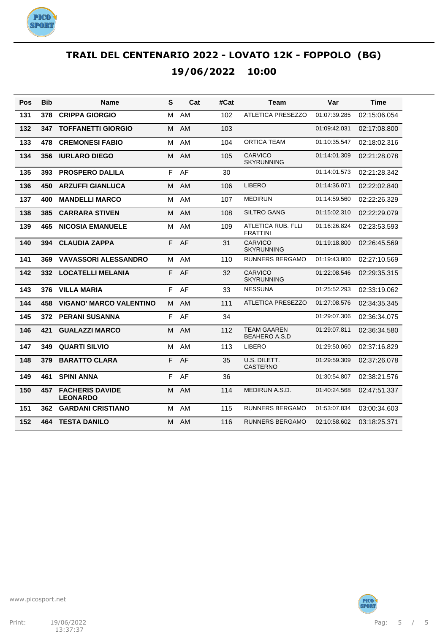

| Pos | <b>Bib</b> | <b>Name</b>                               | S | Cat       | #Cat | Team                                       | Var          | <b>Time</b>  |
|-----|------------|-------------------------------------------|---|-----------|------|--------------------------------------------|--------------|--------------|
| 131 | 378        | <b>CRIPPA GIORGIO</b>                     | М | AM        | 102  | <b>ATLETICA PRESEZZO</b>                   | 01:07:39.285 | 02:15:06.054 |
| 132 | 347        | <b>TOFFANETTI GIORGIO</b>                 | M | <b>AM</b> | 103  |                                            | 01:09:42.031 | 02:17:08.800 |
| 133 | 478        | <b>CREMONESI FABIO</b>                    | м | <b>AM</b> | 104  | ORTICA TEAM                                | 01:10:35.547 | 02:18:02.316 |
| 134 | 356        | <b>IURLARO DIEGO</b>                      | м | AM        | 105  | <b>CARVICO</b><br><b>SKYRUNNING</b>        | 01:14:01.309 | 02:21:28.078 |
| 135 | 393        | <b>PROSPERO DALILA</b>                    | F | AF        | 30   |                                            | 01:14:01.573 | 02:21:28.342 |
| 136 | 450        | <b>ARZUFFI GIANLUCA</b>                   | M | AM        | 106  | <b>LIBERO</b>                              | 01:14:36.071 | 02:22:02.840 |
| 137 | 400        | <b>MANDELLI MARCO</b>                     | м | AM        | 107  | <b>MEDIRUN</b>                             | 01:14:59.560 | 02:22:26.329 |
| 138 | 385        | <b>CARRARA STIVEN</b>                     | м | AM        | 108  | <b>SILTRO GANG</b>                         | 01:15:02.310 | 02:22:29.079 |
| 139 | 465        | <b>NICOSIA EMANUELE</b>                   | M | <b>AM</b> | 109  | ATLETICA RUB. FLLI<br><b>FRATTINI</b>      | 01:16:26.824 | 02:23:53.593 |
| 140 | 394        | <b>CLAUDIA ZAPPA</b>                      | F | AF        | 31   | CARVICO<br><b>SKYRUNNING</b>               | 01:19:18.800 | 02:26:45.569 |
| 141 | 369        | <b>VAVASSORI ALESSANDRO</b>               | м | AM        | 110  | <b>RUNNERS BERGAMO</b>                     | 01:19:43.800 | 02:27:10.569 |
| 142 | 332        | <b>LOCATELLI MELANIA</b>                  | F | AF        | 32   | <b>CARVICO</b><br><b>SKYRUNNING</b>        | 01:22:08.546 | 02:29:35.315 |
| 143 | 376        | <b>VILLA MARIA</b>                        | F | AF        | 33   | <b>NESSUNA</b>                             | 01:25:52.293 | 02:33:19.062 |
| 144 | 458        | <b>VIGANO' MARCO VALENTINO</b>            | м | <b>AM</b> | 111  | <b>ATLETICA PRESEZZO</b>                   | 01:27:08.576 | 02:34:35.345 |
| 145 | 372        | <b>PERANI SUSANNA</b>                     | F | AF        | 34   |                                            | 01:29:07.306 | 02:36:34.075 |
| 146 | 421        | <b>GUALAZZI MARCO</b>                     | М | AM        | 112  | <b>TEAM GAAREN</b><br><b>BEAHERO A.S.D</b> | 01:29:07.811 | 02:36:34.580 |
| 147 | 349        | <b>QUARTI SILVIO</b>                      | M | AM        | 113  | <b>LIBERO</b>                              | 01:29:50.060 | 02:37:16.829 |
| 148 | 379        | <b>BARATTO CLARA</b>                      | F | AF        | 35   | U.S. DILETT.<br><b>CASTERNO</b>            | 01:29:59.309 | 02:37:26.078 |
| 149 | 461        | <b>SPINI ANNA</b>                         | F | AF        | 36   |                                            | 01:30:54.807 | 02:38:21.576 |
| 150 | 457        | <b>FACHERIS DAVIDE</b><br><b>LEONARDO</b> | М | AM        | 114  | MEDIRUN A.S.D.                             | 01:40:24.568 | 02:47:51.337 |
| 151 | 362        | <b>GARDANI CRISTIANO</b>                  | м | AM        | 115  | <b>RUNNERS BERGAMO</b>                     | 01:53:07.834 | 03:00:34.603 |
| 152 | 464        | <b>TESTA DANILO</b>                       | м | <b>AM</b> | 116  | RUNNERS BERGAMO                            | 02:10:58.602 | 03:18:25.371 |

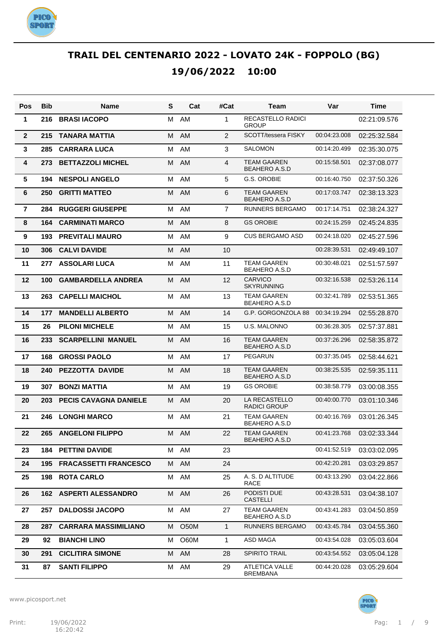

| Pos            | Bib | <b>Name</b>                   | S | Cat  | #Cat           | Team                                       | Var          | Time         |
|----------------|-----|-------------------------------|---|------|----------------|--------------------------------------------|--------------|--------------|
| 1              | 216 | <b>BRASI IACOPO</b>           | М | AM   | 1              | RECASTELLO RADICI<br><b>GROUP</b>          |              | 02:21:09.576 |
| $\overline{2}$ | 215 | <b>TANARA MATTIA</b>          | M | AM   | 2              | SCOTT/tessera FISKY                        | 00:04:23.008 | 02:25:32.584 |
| 3              | 285 | <b>CARRARA LUCA</b>           | м | AM   | 3              | <b>SALOMON</b>                             | 00:14:20.499 | 02:35:30.075 |
| 4              | 273 | <b>BETTAZZOLI MICHEL</b>      | M | AM   | 4              | <b>TEAM GAAREN</b><br><b>BEAHERO A.S.D</b> | 00:15:58.501 | 02:37:08.077 |
| 5              | 194 | <b>NESPOLI ANGELO</b>         | м | AM   | 5              | G.S. OROBIE                                | 00:16:40.750 | 02:37:50.326 |
| 6              | 250 | <b>GRITTI MATTEO</b>          | м | AM   | 6              | <b>TEAM GAAREN</b><br><b>BEAHERO A.S.D</b> | 00:17:03.747 | 02:38:13.323 |
| $\overline{7}$ | 284 | <b>RUGGERI GIUSEPPE</b>       | М | AM   | $\overline{7}$ | <b>RUNNERS BERGAMO</b>                     | 00:17:14.751 | 02:38:24.327 |
| 8              | 164 | <b>CARMINATI MARCO</b>        | м | AM   | 8              | <b>GS OROBIE</b>                           | 00:24:15.259 | 02:45:24.835 |
| 9              | 193 | <b>PREVITALI MAURO</b>        | м | AM   | 9              | <b>CUS BERGAMO ASD</b>                     | 00:24:18.020 | 02:45:27.596 |
| 10             | 306 | <b>CALVI DAVIDE</b>           | М | AM   | 10             |                                            | 00:28:39.531 | 02:49:49.107 |
| 11             | 277 | <b>ASSOLARI LUCA</b>          | м | AM   | 11             | <b>TEAM GAAREN</b><br><b>BEAHERO A.S.D</b> | 00:30:48.021 | 02:51:57.597 |
| 12             | 100 | <b>GAMBARDELLA ANDREA</b>     | M | AM   | 12             | <b>CARVICO</b><br><b>SKYRUNNING</b>        | 00:32:16.538 | 02:53:26.114 |
| 13             | 263 | <b>CAPELLI MAICHOL</b>        | м | AM   | 13             | <b>TEAM GAAREN</b><br><b>BEAHERO A.S.D</b> | 00:32:41.789 | 02:53:51.365 |
| 14             | 177 | <b>MANDELLI ALBERTO</b>       | M | AM   | 14             | G.P. GORGONZOLA 88                         | 00:34:19.294 | 02:55:28.870 |
| 15             | 26  | <b>PILONI MICHELE</b>         | м | AM   | 15             | <b>U.S. MALONNO</b>                        | 00:36:28.305 | 02:57:37.881 |
| 16             | 233 | <b>SCARPELLINI MANUEL</b>     | M | AM   | 16             | <b>TEAM GAAREN</b><br><b>BEAHERO A.S.D</b> | 00:37:26.296 | 02:58:35.872 |
| 17             | 168 | <b>GROSSI PAOLO</b>           | м | AM   | 17             | <b>PEGARUN</b>                             | 00:37:35.045 | 02:58:44.621 |
| 18             | 240 | PEZZOTTA DAVIDE               | M | AM   | 18             | <b>TEAM GAAREN</b><br><b>BEAHERO A.S.D</b> | 00:38:25.535 | 02:59:35.111 |
| 19             | 307 | <b>BONZI MATTIA</b>           | м | AM   | 19             | <b>GS OROBIE</b>                           | 00:38:58.779 | 03:00:08.355 |
| 20             | 203 | <b>PECIS CAVAGNA DANIELE</b>  | М | AM   | 20             | LA RECASTELLO<br><b>RADICI GROUP</b>       | 00:40:00.770 | 03:01:10.346 |
| 21             | 246 | <b>LONGHI MARCO</b>           | м | AM   | 21             | <b>TEAM GAAREN</b><br><b>BEAHERO A.S.D</b> | 00:40:16.769 | 03:01:26.345 |
| 22             | 265 | <b>ANGELONI FILIPPO</b>       |   | M AM | 22             | <b>TEAM GAAREN</b><br>BEAHERO A.S.D        | 00:41:23.768 | 03:02:33.344 |
| 23             | 184 | <b>PETTINI DAVIDE</b>         | M | AM   | 23             |                                            | 00:41:52.519 | 03:03:02.095 |
| 24             | 195 | <b>FRACASSETTI FRANCESCO</b>  | М | AM   | 24             |                                            | 00:42:20.281 | 03:03:29.857 |
| 25             | 198 | <b>ROTA CARLO</b>             | м | AM   | 25             | A. S. D ALTITUDE<br><b>RACE</b>            | 00:43:13.290 | 03:04:22.866 |
| 26             |     | <b>162 ASPERTI ALESSANDRO</b> |   | M AM | 26             | PODISTI DUE<br><b>CASTELLI</b>             | 00:43:28.531 | 03:04:38.107 |
| 27             | 257 | <b>DALDOSSI JACOPO</b>        | м | AM   | 27             | <b>TEAM GAAREN</b><br><b>BEAHERO A.S.D</b> | 00:43:41.283 | 03:04:50.859 |
| 28             | 287 | <b>CARRARA MASSIMILIANO</b>   | м | O50M | 1              | <b>RUNNERS BERGAMO</b>                     | 00:43:45.784 | 03:04:55.360 |
| 29             | 92  | <b>BIANCHI LINO</b>           | м | O60M | 1              | ASD MAGA                                   | 00:43:54.028 | 03:05:03.604 |
| 30             | 291 | <b>CICLITIRA SIMONE</b>       | м | AM   | 28             | <b>SPIRITO TRAIL</b>                       | 00:43:54.552 | 03:05:04.128 |
| 31             | 87  | <b>SANTI FILIPPO</b>          | М | AM   | 29             | ATLETICA VALLE<br>BREMBANA                 | 00:44:20.028 | 03:05:29.604 |

www.picosport.net



**PICO<sup>.</sup>**<br>SPORT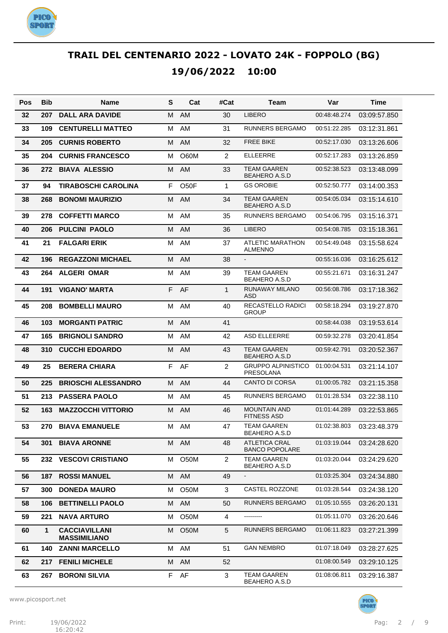

| Pos | <b>Bib</b> | Name                                        | S  | Cat               | #Cat           | Team                                       | Var          | Time         |
|-----|------------|---------------------------------------------|----|-------------------|----------------|--------------------------------------------|--------------|--------------|
| 32  | 207        | <b>DALL ARA DAVIDE</b>                      | M  | <b>AM</b>         | 30             | <b>LIBERO</b>                              | 00:48:48.274 | 03:09:57.850 |
| 33  | 109        | <b>CENTURELLI MATTEO</b>                    | м  | AM                | 31             | <b>RUNNERS BERGAMO</b>                     | 00:51:22.285 | 03:12:31.861 |
| 34  | 205        | <b>CURNIS ROBERTO</b>                       | M  | <b>AM</b>         | 32             | <b>FREE BIKE</b>                           | 00:52:17.030 | 03:13:26.606 |
| 35  | 204        | <b>CURNIS FRANCESCO</b>                     | м  | O60M              | $\overline{2}$ | <b>ELLEERRE</b>                            | 00:52:17.283 | 03:13:26.859 |
| 36  | 272        | <b>BIAVA ALESSIO</b>                        | M  | AM                | 33             | <b>TEAM GAAREN</b><br><b>BEAHERO A.S.D</b> | 00:52:38.523 | 03:13:48.099 |
| 37  | 94         | <b>TIRABOSCHI CAROLINA</b>                  | F. | O <sub>50</sub> F | $\mathbf{1}$   | <b>GS OROBIE</b>                           | 00:52:50.777 | 03:14:00.353 |
| 38  | 268        | <b>BONOMI MAURIZIO</b>                      | м  | AM                | 34             | TEAM GAAREN<br><b>BEAHERO A.S.D</b>        | 00:54:05.034 | 03:15:14.610 |
| 39  | 278        | <b>COFFETTI MARCO</b>                       | М  | AM                | 35             | <b>RUNNERS BERGAMO</b>                     | 00:54:06.795 | 03:15:16.371 |
| 40  | 206        | <b>PULCINI PAOLO</b>                        | M  | AM                | 36             | <b>LIBERO</b>                              | 00:54:08.785 | 03:15:18.361 |
| 41  | 21         | <b>FALGARI ERIK</b>                         | м  | AM                | 37             | ATLETIC MARATHON<br><b>ALMENNO</b>         | 00:54:49.048 | 03:15:58.624 |
| 42  | 196        | <b>REGAZZONI MICHAEL</b>                    | M  | AM                | 38             | $\blacksquare$                             | 00:55:16.036 | 03:16:25.612 |
| 43  | 264        | <b>ALGERI OMAR</b>                          | М  | AM                | 39             | <b>TEAM GAAREN</b><br><b>BEAHERO A.S.D</b> | 00:55:21.671 | 03:16:31.247 |
| 44  | 191        | <b>VIGANO' MARTA</b>                        | F  | AF                | $\mathbf{1}$   | RUNAWAY MILANO<br>ASD                      | 00:56:08.786 | 03:17:18.362 |
| 45  | 208        | <b>BOMBELLI MAURO</b>                       | м  | AM                | 40             | <b>RECASTELLO RADICI</b><br><b>GROUP</b>   | 00:58:18.294 | 03:19:27.870 |
| 46  | 103        | <b>MORGANTI PATRIC</b>                      | M  | AM                | 41             |                                            | 00:58:44.038 | 03:19:53.614 |
| 47  | 165        | <b>BRIGNOLI SANDRO</b>                      | М  | AM                | 42             | <b>ASD ELLEERRE</b>                        | 00:59:32.278 | 03:20:41.854 |
| 48  | 310        | <b>CUCCHI EDOARDO</b>                       | M  | AM                | 43             | <b>TEAM GAAREN</b><br><b>BEAHERO A.S.D</b> | 00:59:42.791 | 03:20:52.367 |
| 49  | 25         | <b>BERERA CHIARA</b>                        | F  | AF                | $\overline{2}$ | <b>GRUPPO ALPINISTICO</b><br>PRESOLANA     | 01:00:04.531 | 03:21:14.107 |
| 50  | 225        | <b>BRIOSCHI ALESSANDRO</b>                  | M  | AM                | 44             | <b>CANTO DI CORSA</b>                      | 01:00:05.782 | 03:21:15.358 |
| 51  | 213        | <b>PASSERA PAOLO</b>                        | м  | AM                | 45             | <b>RUNNERS BERGAMO</b>                     | 01:01:28.534 | 03:22:38.110 |
| 52  | 163        | <b>MAZZOCCHI VITTORIO</b>                   | М  | <b>AM</b>         | 46             | <b>MOUNTAIN AND</b><br><b>FITNESS ASD</b>  | 01:01:44.289 | 03:22:53.865 |
| 53  | 270        | <b>BIAVA EMANUELE</b>                       | М  | AM                | 47             | <b>TEAM GAAREN</b><br><b>BEAHERO A.S.D</b> | 01:02:38.803 | 03:23:48.379 |
| 54  | 301        | <b>BIAVA ARONNE</b>                         |    | M AM              | 48             | ATLETICA CRAL<br><b>BANCO POPOLARE</b>     | 01:03:19.044 | 03:24:28.620 |
| 55  | 232        | <b>VESCOVI CRISTIANO</b>                    | м  | O <sub>5</sub> 0M | $\overline{2}$ | TEAM GAAREN<br><b>BEAHERO A.S.D</b>        | 01:03:20.044 | 03:24:29.620 |
| 56  | 187        | <b>ROSSI MANUEL</b>                         | М  | AM                | 49             |                                            | 01:03:25.304 | 03:24:34.880 |
| 57  | 300        | <b>DONEDA MAURO</b>                         | м  | O50M              | 3              | CASTEL ROZZONE                             | 01:03:28.544 | 03:24:38.120 |
| 58  | 106        | <b>BETTINELLI PAOLO</b>                     | M  | AM                | 50             | RUNNERS BERGAMO                            | 01:05:10.555 | 03:26:20.131 |
| 59  | 221        | <b>NAVA ARTURO</b>                          | м  | O50M              | 4              | ---------                                  | 01:05:11.070 | 03:26:20.646 |
| 60  | 1          | <b>CACCIAVILLANI</b><br><b>MASSIMILIANO</b> | M  | <b>O50M</b>       | 5              | RUNNERS BERGAMO                            | 01:06:11.823 | 03:27:21.399 |
| 61  | 140        | <b>ZANNI MARCELLO</b>                       | м  | AM                | 51             | <b>GAN NEMBRO</b>                          | 01:07:18.049 | 03:28:27.625 |
| 62  | 217        | <b>FENILI MICHELE</b>                       | M  | AM                | 52             |                                            | 01:08:00.549 | 03:29:10.125 |
| 63  | 267        | <b>BORONI SILVIA</b>                        | F  | AF                | 3              | <b>TEAM GAAREN</b><br><b>BEAHERO A.S.D</b> | 01:08:06.811 | 03:29:16.387 |



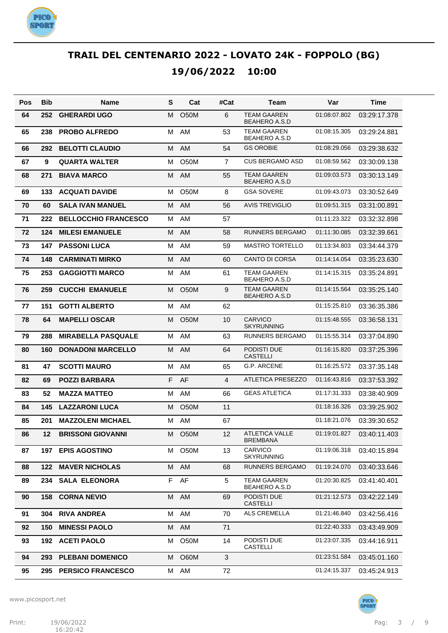

| Pos | <b>Bib</b> | Name                        | S | Cat               | #Cat           | Team                                       | Var          | Time                        |
|-----|------------|-----------------------------|---|-------------------|----------------|--------------------------------------------|--------------|-----------------------------|
| 64  | 252        | <b>GHERARDI UGO</b>         | м | O <sub>5</sub> 0M | 6              | <b>TEAM GAAREN</b><br><b>BEAHERO A.S.D</b> | 01:08:07.802 | 03:29:17.378                |
| 65  | 238        | <b>PROBO ALFREDO</b>        | м | AM                | 53             | TEAM GAAREN<br>BEAHERO A.S.D               | 01:08:15.305 | 03:29:24.881                |
| 66  | 292        | <b>BELOTTI CLAUDIO</b>      | м | AM                | 54             | <b>GS OROBIE</b>                           | 01:08:29.056 | 03:29:38.632                |
| 67  | 9          | <b>QUARTA WALTER</b>        | м | <b>O50M</b>       | $\overline{7}$ | <b>CUS BERGAMO ASD</b>                     | 01:08:59.562 | 03:30:09.138                |
| 68  | 271        | <b>BIAVA MARCO</b>          | м | AM                | 55             | TEAM GAAREN<br><b>BEAHERO A.S.D</b>        | 01:09:03.573 | 03:30:13.149                |
| 69  | 133        | <b>ACQUATI DAVIDE</b>       | м | <b>O50M</b>       | 8              | <b>GSA SOVERE</b>                          | 01:09:43.073 | 03:30:52.649                |
| 70  | 60         | <b>SALA IVAN MANUEL</b>     | м | AM                | 56             | <b>AVIS TREVIGLIO</b>                      | 01:09:51.315 | 03:31:00.891                |
| 71  | 222        | <b>BELLOCCHIO FRANCESCO</b> | м | AM                | 57             |                                            | 01:11:23.322 | 03:32:32.898                |
| 72  | 124        | <b>MILESI EMANUELE</b>      | м | AM                | 58             | <b>RUNNERS BERGAMO</b>                     | 01:11:30.085 | 03:32:39.661                |
| 73  | 147        | <b>PASSONI LUCA</b>         | м | AM                | 59             | <b>MASTRO TORTELLO</b>                     | 01:13:34.803 | 03:34:44.379                |
| 74  | 148        | <b>CARMINATI MIRKO</b>      | м | AM                | 60             | <b>CANTO DI CORSA</b>                      | 01:14:14.054 | 03:35:23.630                |
| 75  | 253        | <b>GAGGIOTTI MARCO</b>      | м | AM                | 61             | <b>TEAM GAAREN</b><br><b>BEAHERO A.S.D</b> | 01:14:15.315 | 03:35:24.891                |
| 76  | 259        | <b>CUCCHI EMANUELE</b>      | м | <b>O50M</b>       | 9              | <b>TEAM GAAREN</b><br><b>BEAHERO A.S.D</b> | 01:14:15.564 | 03:35:25.140                |
| 77  | 151        | <b>GOTTI ALBERTO</b>        | м | AM                | 62             |                                            | 01:15:25.810 | 03:36:35.386                |
| 78  | 64         | <b>MAPELLI OSCAR</b>        | м | <b>O50M</b>       | 10             | <b>CARVICO</b><br><b>SKYRUNNING</b>        | 01:15:48.555 | 03:36:58.131                |
| 79  | 288        | <b>MIRABELLA PASQUALE</b>   | м | AM                | 63             | <b>RUNNERS BERGAMO</b>                     | 01:15:55.314 | 03:37:04.890                |
| 80  | 160        | <b>DONADONI MARCELLO</b>    | м | AM                | 64             | PODISTI DUE<br><b>CASTELLI</b>             | 01:16:15.820 | 03:37:25.396                |
| 81  | 47         | <b>SCOTTI MAURO</b>         | M | AM                | 65             | G.P. ARCENE                                | 01:16:25.572 | 03:37:35.148                |
| 82  | 69         | <b>POZZI BARBARA</b>        | F | AF                | 4              | <b>ATLETICA PRESEZZO</b>                   | 01:16:43.816 | 03:37:53.392                |
| 83  | 52         | <b>MAZZA MATTEO</b>         | M | AM                | 66             | <b>GEAS ATLETICA</b>                       | 01:17:31.333 | 03:38:40.909                |
| 84  | 145        | <b>LAZZARONI LUCA</b>       | м | O <sub>5</sub> 0M | 11             |                                            | 01:18:16.326 | 03:39:25.902                |
| 85  | 201        | <b>MAZZOLENI MICHAEL</b>    | М | AM                | 67             |                                            | 01:18:21.076 | 03:39:30.652                |
| 86  | 12         | <b>BRISSONI GIOVANNI</b>    |   | M O50M            | 12             | <b>ATLETICA VALLE</b><br><b>BREMBANA</b>   |              | 01:19:01.827   03:40:11.403 |
| 87  | 197        | <b>EPIS AGOSTINO</b>        | м | O50M              | 13             | CARVICO<br><b>SKYRUNNING</b>               | 01:19:06.318 | 03:40:15.894                |
| 88  | 122        | <b>MAVER NICHOLAS</b>       | м | AM                | 68             | RUNNERS BERGAMO                            | 01:19:24.070 | 03:40:33.646                |
| 89  | 234        | <b>SALA ELEONORA</b>        |   | F AF              | 5              | <b>TEAM GAAREN</b><br><b>BEAHERO A.S.D</b> | 01:20:30.825 | 03:41:40.401                |
| 90  | 158        | <b>CORNA NEVIO</b>          | М | AM                | 69             | PODISTI DUE<br><b>CASTELLI</b>             | 01:21:12.573 | 03:42:22.149                |
| 91  | 304        | <b>RIVA ANDREA</b>          | м | AM                | 70             | ALS CREMELLA                               | 01:21:46.840 | 03:42:56.416                |
| 92  | 150        | <b>MINESSI PAOLO</b>        | М | AM                | 71             |                                            | 01:22:40.333 | 03:43:49.909                |
| 93  | 192        | <b>ACETI PAOLO</b>          | м | O50M              | 14             | PODISTI DUE<br><b>CASTELLI</b>             | 01:23:07.335 | 03:44:16.911                |
| 94  | 293        | <b>PLEBANI DOMENICO</b>     | м | O60M              | 3              |                                            | 01:23:51.584 | 03:45:01.160                |
| 95  | 295        | <b>PERSICO FRANCESCO</b>    | м | AM                | 72             |                                            | 01:24:15.337 | 03:45:24.913                |

www.picosport.net



**PICO<sup>.</sup>**<br>SPORT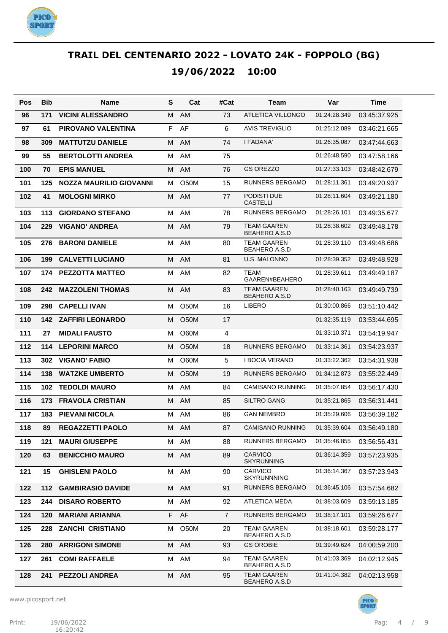

| Pos | Bib | Name                     | S | Cat               | #Cat           | Team                                       | Var          | Time         |
|-----|-----|--------------------------|---|-------------------|----------------|--------------------------------------------|--------------|--------------|
| 96  | 171 | <b>VICINI ALESSANDRO</b> | M | AM                | 73             | <b>ATLETICA VILLONGO</b>                   | 01:24:28.349 | 03:45:37.925 |
| 97  | 61  | PIROVANO VALENTINA       | F | AF                | 6              | <b>AVIS TREVIGLIO</b>                      | 01:25:12.089 | 03:46:21.665 |
| 98  | 309 | <b>MATTUTZU DANIELE</b>  | м | AM                | 74             | I FADANA'                                  | 01:26:35.087 | 03:47:44.663 |
| 99  | 55  | <b>BERTOLOTTI ANDREA</b> | M | AM                | 75             |                                            | 01:26:48.590 | 03:47:58.166 |
| 100 | 70  | <b>EPIS MANUEL</b>       | M | AM                | 76             | <b>GS OREZZO</b>                           | 01:27:33.103 | 03:48:42.679 |
| 101 | 125 | NOZZA MAURILIO GIOVANNI  | м | O50M              | 15             | <b>RUNNERS BERGAMO</b>                     | 01:28:11.361 | 03:49:20.937 |
| 102 | 41  | <b>MOLOGNI MIRKO</b>     | M | <b>AM</b>         | 77             | PODISTI DUE<br>CASTELLI                    | 01:28:11.604 | 03:49:21.180 |
| 103 | 113 | <b>GIORDANO STEFANO</b>  | M | AM                | 78             | <b>RUNNERS BERGAMO</b>                     | 01:28:26.101 | 03:49:35.677 |
| 104 | 229 | <b>VIGANO' ANDREA</b>    | м | AM                | 79             | <b>TEAM GAAREN</b><br><b>BEAHERO A.S.D</b> | 01:28:38.602 | 03:49:48.178 |
| 105 | 276 | <b>BARONI DANIELE</b>    | м | AM                | 80             | <b>TEAM GAAREN</b><br><b>BEAHERO A.S.D</b> | 01:28:39.110 | 03:49:48.686 |
| 106 | 199 | <b>CALVETTI LUCIANO</b>  | M | AM                | 81             | <b>U.S. MALONNO</b>                        | 01:28:39.352 | 03:49:48.928 |
| 107 | 174 | <b>PEZZOTTA MATTEO</b>   | M | AM                | 82             | <b>TEAM</b><br>GAAREN#BEAHERO              | 01:28:39.611 | 03:49:49.187 |
| 108 | 242 | <b>MAZZOLENI THOMAS</b>  | М | AM                | 83             | <b>TEAM GAAREN</b><br><b>BEAHERO A.S.D</b> | 01:28:40.163 | 03:49:49.739 |
| 109 | 298 | <b>CAPELLI IVAN</b>      | м | O50M              | 16             | <b>LIBERO</b>                              | 01:30:00.866 | 03:51:10.442 |
| 110 | 142 | <b>ZAFFIRI LEONARDO</b>  | м | O <sub>5</sub> 0M | 17             |                                            | 01:32:35.119 | 03:53:44.695 |
| 111 | 27  | <b>MIDALI FAUSTO</b>     | м | O60M              | 4              |                                            | 01:33:10.371 | 03:54:19.947 |
| 112 | 114 | <b>LEPORINI MARCO</b>    | м | O <sub>5</sub> 0M | 18             | <b>RUNNERS BERGAMO</b>                     | 01:33:14.361 | 03:54:23.937 |
| 113 | 302 | <b>VIGANO' FABIO</b>     | м | O60M              | 5              | I BOCIA VERANO                             | 01:33:22.362 | 03:54:31.938 |
| 114 | 138 | <b>WATZKE UMBERTO</b>    | м | O <sub>5</sub> 0M | 19             | <b>RUNNERS BERGAMO</b>                     | 01:34:12.873 | 03:55:22.449 |
| 115 | 102 | <b>TEDOLDI MAURO</b>     | м | AM                | 84             | <b>CAMISANO RUNNING</b>                    | 01:35:07.854 | 03:56:17.430 |
| 116 | 173 | <b>FRAVOLA CRISTIAN</b>  | м | AM                | 85             | <b>SILTRO GANG</b>                         | 01:35:21.865 | 03:56:31.441 |
| 117 | 183 | <b>PIEVANI NICOLA</b>    | м | AM                | 86             | <b>GAN NEMBRO</b>                          | 01:35:29.606 | 03:56:39.182 |
| 118 | 89  | <b>REGAZZETTI PAOLO</b>  | м | AM                | 87             | <b>CAMISANO RUNNING</b>                    | 01:35:39.604 | 03:56:49.180 |
| 119 | 121 | <b>MAURI GIUSEPPE</b>    |   | M AM              | 88             | RUNNERS BERGAMO                            | 01:35:46.855 | 03:56:56.431 |
| 120 | 63  | <b>BENICCHIO MAURO</b>   | М | AM                | 89             | <b>CARVICO</b><br><b>SKYRUNNING</b>        | 01:36:14.359 | 03:57:23.935 |
| 121 | 15  | <b>GHISLENI PAOLO</b>    | м | AM                | 90             | CARVICO<br><b>SKYRUNNNING</b>              | 01:36:14.367 | 03:57:23.943 |
| 122 | 112 | <b>GAMBIRASIO DAVIDE</b> |   | M AM              | 91             | RUNNERS BERGAMO                            | 01:36:45.106 | 03:57:54.682 |
| 123 | 244 | <b>DISARO ROBERTO</b>    | м | AM                | 92             | <b>ATLETICA MEDA</b>                       | 01:38:03.609 | 03:59:13.185 |
| 124 | 120 | <b>MARIANI ARIANNA</b>   |   | F AF              | $\overline{7}$ | <b>RUNNERS BERGAMO</b>                     | 01:38:17.101 | 03:59:26.677 |
| 125 | 228 | <b>ZANCHI CRISTIANO</b>  | м | O50M              | 20             | <b>TEAM GAAREN</b><br><b>BEAHERO A.S.D</b> | 01:38:18.601 | 03:59:28.177 |
| 126 | 280 | <b>ARRIGONI SIMONE</b>   |   | M AM              | 93             | <b>GS OROBIE</b>                           | 01:39:49.624 | 04:00:59.200 |
| 127 | 261 | <b>COMI RAFFAELE</b>     | м | AM                | 94             | <b>TEAM GAAREN</b><br>BEAHERO A.S.D        | 01:41:03.369 | 04:02:12.945 |
| 128 | 241 | <b>PEZZOLI ANDREA</b>    | М | AM                | 95             | <b>TEAM GAAREN</b><br>BEAHERO A.S.D        | 01:41:04.382 | 04:02:13.958 |

www.picosport.net

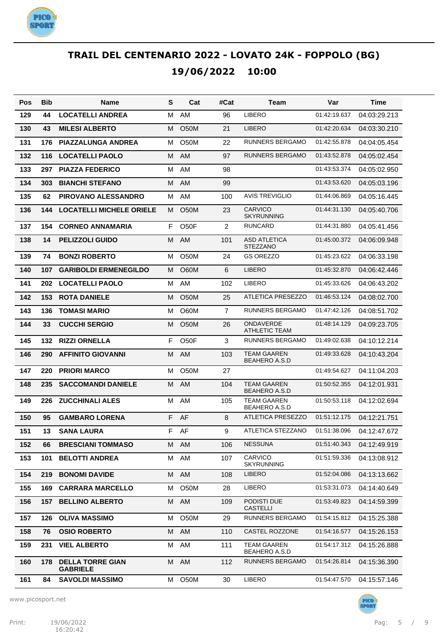

| Pos | <b>Bib</b> | Name                                       | S | Cat               | #Cat           | Team                                       | Var          | Time         |
|-----|------------|--------------------------------------------|---|-------------------|----------------|--------------------------------------------|--------------|--------------|
| 129 | 44         | <b>LOCATELLI ANDREA</b>                    | м | AM                | 96             | <b>LIBERO</b>                              | 01:42:19.637 | 04:03:29.213 |
| 130 | 43         | <b>MILESI ALBERTO</b>                      | м | <b>O50M</b>       | 21             | <b>LIBERO</b>                              | 01:42:20.634 | 04:03:30.210 |
| 131 | 176        | <b>PIAZZALUNGA ANDREA</b>                  | м | <b>O50M</b>       | 22             | <b>RUNNERS BERGAMO</b>                     | 01:42:55.878 | 04:04:05.454 |
| 132 | 116        | <b>LOCATELLI PAOLO</b>                     | M | AM                | 97             | <b>RUNNERS BERGAMO</b>                     | 01:43:52.878 | 04:05:02.454 |
| 133 | 297        | <b>PIAZZA FEDERICO</b>                     | M | AM                | 98             |                                            | 01:43:53.374 | 04:05:02.950 |
| 134 | 303        | <b>BIANCHI STEFANO</b>                     | м | AM                | 99             |                                            | 01:43:53.620 | 04:05:03.196 |
| 135 | 62         | <b>PIROVANO ALESSANDRO</b>                 | м | AM                | 100            | <b>AVIS TREVIGLIO</b>                      | 01:44:06.869 | 04:05:16.445 |
| 136 | 144        | <b>LOCATELLI MICHELE ORIELE</b>            | м | O <sub>5</sub> 0M | 23             | <b>CARVICO</b><br><b>SKYRUNNING</b>        | 01:44:31.130 | 04:05:40.706 |
| 137 | 154        | <b>CORNEO ANNAMARIA</b>                    | F | O <sub>50</sub> F | 2              | <b>RUNCARD</b>                             | 01:44:31.880 | 04:05:41.456 |
| 138 | 14         | <b>PELIZZOLI GUIDO</b>                     | м | AM                | 101            | <b>ASD ATLETICA</b><br><b>STEZZANO</b>     | 01:45:00.372 | 04:06:09.948 |
| 139 | 74         | <b>BONZI ROBERTO</b>                       | м | <b>O50M</b>       | 24             | <b>GS OREZZO</b>                           | 01:45:23.622 | 04:06:33.198 |
| 140 | 107        | <b>GARIBOLDI ERMENEGILDO</b>               | м | <b>O60M</b>       | 6              | <b>LIBERO</b>                              | 01:45:32.870 | 04:06:42.446 |
| 141 | 202        | <b>LOCATELLI PAOLO</b>                     | М | AM                | 102            | <b>LIBERO</b>                              | 01:45:33.626 | 04:06:43.202 |
| 142 | 153        | <b>ROTA DANIELE</b>                        | м | <b>O50M</b>       | 25             | <b>ATLETICA PRESEZZO</b>                   | 01:46:53.124 | 04:08:02.700 |
| 143 | 136        | <b>TOMASI MARIO</b>                        | м | O60M              | $\overline{7}$ | <b>RUNNERS BERGAMO</b>                     | 01:47:42.126 | 04:08:51.702 |
| 144 | 33         | <b>CUCCHI SERGIO</b>                       | м | O <sub>5</sub> 0M | 26             | <b>ONDAVERDE</b><br><b>ATHLETIC TEAM</b>   | 01:48:14.129 | 04:09:23.705 |
| 145 | 132        | <b>RIZZI ORNELLA</b>                       | F | O <sub>5</sub> OF | 3              | <b>RUNNERS BERGAMO</b>                     | 01:49:02.638 | 04:10:12.214 |
| 146 | 290        | <b>AFFINITO GIOVANNI</b>                   | м | AM                | 103            | <b>TEAM GAAREN</b><br><b>BEAHERO A.S.D</b> | 01:49:33.628 | 04:10:43.204 |
| 147 | 220        | <b>PRIORI MARCO</b>                        | м | O <sub>5</sub> 0M | 27             |                                            | 01:49:54.627 | 04:11:04.203 |
| 148 | 235        | <b>SACCOMANDI DANIELE</b>                  | м | AM                | 104            | <b>TEAM GAAREN</b><br><b>BEAHERO A.S.D</b> | 01:50:52.355 | 04:12:01.931 |
| 149 | 226        | <b>ZUCCHINALI ALES</b>                     | м | AM                | 105            | <b>TEAM GAAREN</b><br><b>BEAHERO A.S.D</b> | 01:50:53.118 | 04:12:02.694 |
| 150 | 95         | <b>GAMBARO LORENA</b>                      | F | AF                | 8              | <b>ATLETICA PRESEZZO</b>                   | 01:51:12.175 | 04:12:21.751 |
| 151 | 13         | <b>SANA LAURA</b>                          | F | AF                | 9              | ATLETICA STEZZANO                          | 01:51:38.096 | 04:12:47.672 |
| 152 | 66         | <b>BRESCIANI TOMMASO</b>                   |   | M AM              | 106            | <b>NESSUNA</b>                             | 01:51:40.343 | 04:12:49.919 |
| 153 | 101        | <b>BELOTTI ANDREA</b>                      | м | AM                | 107            | <b>CARVICO</b><br><b>SKYRUNNING</b>        | 01:51:59.336 | 04:13:08.912 |
| 154 | 219        | <b>BONOMI DAVIDE</b>                       | м | AM                | 108            | <b>LIBERO</b>                              | 01:52:04.086 | 04:13:13.662 |
| 155 | 169        | <b>CARRARA MARCELLO</b>                    | м | O <sub>5</sub> 0M | 28             | LIBERO                                     | 01:53:31.073 | 04:14:40.649 |
| 156 | 157        | <b>BELLINO ALBERTO</b>                     | м | AM                | 109            | PODISTI DUE<br><b>CASTELLI</b>             | 01:53:49.823 | 04:14:59.399 |
| 157 | 126        | <b>OLIVA MASSIMO</b>                       | м | O50M              | 29             | RUNNERS BERGAMO                            | 01:54:15.812 | 04:15:25.388 |
| 158 | 76         | <b>OSIO ROBERTO</b>                        |   | M AM              | 110            | CASTEL ROZZONE                             | 01:54:16.577 | 04:15:26.153 |
| 159 | 231        | <b>VIEL ALBERTO</b>                        | м | AM                | 111            | TEAM GAAREN<br>BEAHERO A.S.D               | 01:54:17.312 | 04:15:26.888 |
| 160 | 178        | <b>DELLA TORRE GIAN</b><br><b>GABRIELE</b> | М | AM                | 112            | RUNNERS BERGAMO                            | 01:54:26.814 | 04:15:36.390 |
| 161 | 84         | <b>SAVOLDI MASSIMO</b>                     | М | O50M              | 30             | LIBERO                                     | 01:54:47.570 | 04:15:57.146 |

www.picosport.net



**PICO PORT**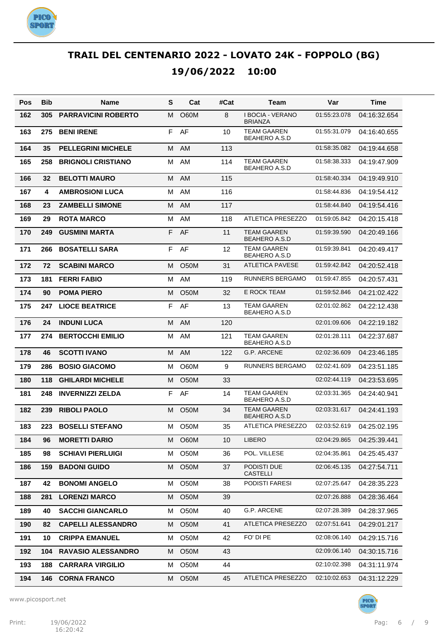

| Pos | <b>Bib</b> | Name                       | S | Cat               | #Cat | Team                                       | Var          | Time         |
|-----|------------|----------------------------|---|-------------------|------|--------------------------------------------|--------------|--------------|
| 162 | 305        | <b>PARRAVICINI ROBERTO</b> | м | <b>O60M</b>       | 8    | <b>I BOCIA - VERANO</b><br><b>BRIANZA</b>  | 01:55:23.078 | 04:16:32.654 |
| 163 | 275        | <b>BENI IRENE</b>          | F | AF                | 10   | TEAM GAAREN<br><b>BEAHERO A.S.D</b>        | 01:55:31.079 | 04:16:40.655 |
| 164 | 35         | <b>PELLEGRINI MICHELE</b>  | M | AM                | 113  |                                            | 01:58:35.082 | 04:19:44.658 |
| 165 | 258        | <b>BRIGNOLI CRISTIANO</b>  | м | AM                | 114  | TEAM GAAREN<br><b>BEAHERO A.S.D</b>        | 01:58:38.333 | 04:19:47.909 |
| 166 | 32         | <b>BELOTTI MAURO</b>       | м | <b>AM</b>         | 115  |                                            | 01:58:40.334 | 04:19:49.910 |
| 167 | 4          | <b>AMBROSIONI LUCA</b>     | M | AM                | 116  |                                            | 01:58:44.836 | 04:19:54.412 |
| 168 | 23         | <b>ZAMBELLI SIMONE</b>     | M | <b>AM</b>         | 117  |                                            | 01:58:44.840 | 04:19:54.416 |
| 169 | 29         | <b>ROTA MARCO</b>          | М | AM                | 118  | <b>ATLETICA PRESEZZO</b>                   | 01:59:05.842 | 04:20:15.418 |
| 170 | 249        | <b>GUSMINI MARTA</b>       | F | AF                | 11   | <b>TEAM GAAREN</b><br><b>BEAHERO A.S.D</b> | 01:59:39.590 | 04:20:49.166 |
| 171 | 266        | <b>BOSATELLI SARA</b>      | F | AF                | 12   | TEAM GAAREN<br>BEAHERO A.S.D               | 01:59:39.841 | 04:20:49.417 |
| 172 | 72         | <b>SCABINI MARCO</b>       | м | <b>O50M</b>       | 31   | ATLETICA PAVESE                            | 01:59:42.842 | 04:20:52.418 |
| 173 | 181        | <b>FERRI FABIO</b>         | м | AM                | 119  | <b>RUNNERS BERGAMO</b>                     | 01:59:47.855 | 04:20:57.431 |
| 174 | 90         | <b>POMA PIERO</b>          | м | <b>O50M</b>       | 32   | <b>E ROCK TEAM</b>                         | 01:59:52.846 | 04:21:02.422 |
| 175 | 247        | <b>LIOCE BEATRICE</b>      | F | AF                | 13   | TEAM GAAREN<br><b>BEAHERO A.S.D</b>        | 02:01:02.862 | 04:22:12.438 |
| 176 | 24         | <b>INDUNI LUCA</b>         | M | <b>AM</b>         | 120  |                                            | 02:01:09.606 | 04:22:19.182 |
| 177 | 274        | <b>BERTOCCHI EMILIO</b>    | M | AM                | 121  | <b>TEAM GAAREN</b><br><b>BEAHERO A.S.D</b> | 02:01:28.111 | 04:22:37.687 |
| 178 | 46         | <b>SCOTTI IVANO</b>        | м | AM                | 122  | <b>G.P. ARCENE</b>                         | 02:02:36.609 | 04:23:46.185 |
| 179 | 286        | <b>BOSIO GIACOMO</b>       | м | O60M              | 9    | RUNNERS BERGAMO                            | 02:02:41.609 | 04:23:51.185 |
| 180 | 118        | <b>GHILARDI MICHELE</b>    | м | O <sub>5</sub> 0M | 33   |                                            | 02:02:44.119 | 04:23:53.695 |
| 181 | 248        | <b>INVERNIZZI ZELDA</b>    | F | AF                | 14   | TEAM GAAREN<br>BEAHERO A.S.D               | 02:03:31.365 | 04:24:40.941 |
| 182 | 239        | <b>RIBOLI PAOLO</b>        | м | O <sub>5</sub> 0M | 34   | <b>TEAM GAAREN</b><br><b>BEAHERO A.S.D</b> | 02:03:31.617 | 04:24:41.193 |
| 183 | 223        | <b>BOSELLI STEFANO</b>     | м | O50M              | 35   | ATLETICA PRESEZZO                          | 02:03:52.619 | 04:25:02.195 |
| 184 | 96         | <b>MORETTI DARIO</b>       | M | O60M              | 10   | <b>LIBERO</b>                              | 02:04:29.865 | 04:25:39.441 |
| 185 | 98         | <b>SCHIAVI PIERLUIGI</b>   | м | O50M              | 36   | POL. VILLESE                               | 02:04:35.861 | 04:25:45.437 |
| 186 | 159        | <b>BADONI GUIDO</b>        | м | O <sub>5</sub> 0M | 37   | PODISTI DUE<br><b>CASTELLI</b>             | 02:06:45.135 | 04:27:54.711 |
| 187 | 42         | <b>BONOMI ANGELO</b>       | м | O50M              | 38   | PODISTI FARESI                             | 02:07:25.647 | 04:28:35.223 |
| 188 | 281        | <b>LORENZI MARCO</b>       | м | O <sub>5</sub> 0M | 39   |                                            | 02:07:26.888 | 04:28:36.464 |
| 189 | 40         | <b>SACCHI GIANCARLO</b>    | м | O50M              | 40   | G.P. ARCENE                                | 02:07:28.389 | 04:28:37.965 |
| 190 | 82         | <b>CAPELLI ALESSANDRO</b>  | м | O <sub>5</sub> 0M | 41   | ATLETICA PRESEZZO                          | 02:07:51.641 | 04:29:01.217 |
| 191 | 10         | <b>CRIPPA EMANUEL</b>      | м | O50M              | 42   | FO' DI PE                                  | 02:08:06.140 | 04:29:15.716 |
| 192 | 104        | <b>RAVASIO ALESSANDRO</b>  | м | O <sub>5</sub> 0M | 43   |                                            | 02:09:06.140 | 04:30:15.716 |
| 193 | 188        | <b>CARRARA VIRGILIO</b>    | м | O50M              | 44   |                                            | 02:10:02.398 | 04:31:11.974 |
| 194 | 146        | <b>CORNA FRANCO</b>        | м | O <sub>5</sub> 0M | 45   | ATLETICA PRESEZZO                          | 02:10:02.653 | 04:31:12.229 |

www.picosport.net

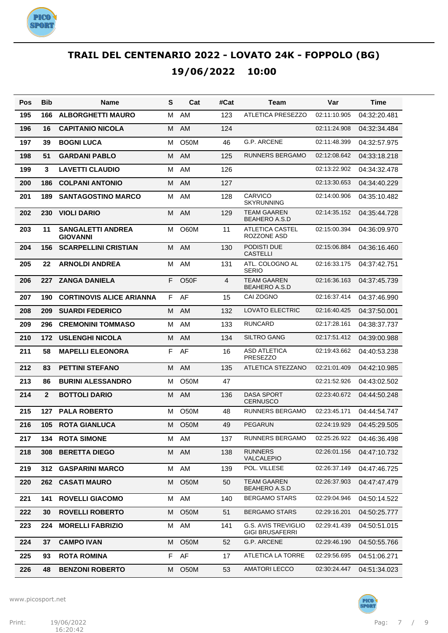

| Pos | <b>Bib</b>     | Name                                        | S  | Cat               | #Cat           | Team                                          | Var          | Time         |
|-----|----------------|---------------------------------------------|----|-------------------|----------------|-----------------------------------------------|--------------|--------------|
| 195 | 166            | <b>ALBORGHETTI MAURO</b>                    | м  | AM                | 123            | <b>ATLETICA PRESEZZO</b>                      | 02:11:10.905 | 04:32:20.481 |
| 196 | 16             | <b>CAPITANIO NICOLA</b>                     | M  | AM                | 124            |                                               | 02:11:24.908 | 04:32:34.484 |
| 197 | 39             | <b>BOGNI LUCA</b>                           | м  | O50M              | 46             | G.P. ARCENE                                   | 02:11:48.399 | 04:32:57.975 |
| 198 | 51             | <b>GARDANI PABLO</b>                        | M  | <b>AM</b>         | 125            | <b>RUNNERS BERGAMO</b>                        | 02:12:08.642 | 04:33:18.218 |
| 199 | 3              | <b>LAVETTI CLAUDIO</b>                      | м  | AM                | 126            |                                               | 02:13:22.902 | 04:34:32.478 |
| 200 | 186            | <b>COLPANI ANTONIO</b>                      | M  | <b>AM</b>         | 127            |                                               | 02:13:30.653 | 04:34:40.229 |
| 201 | 189            | <b>SANTAGOSTINO MARCO</b>                   | м  | AM                | 128            | <b>CARVICO</b><br><b>SKYRUNNING</b>           | 02:14:00.906 | 04:35:10.482 |
| 202 | 230            | <b>VIOLI DARIO</b>                          | M  | AM                | 129            | <b>TEAM GAAREN</b><br><b>BEAHERO A.S.D</b>    | 02:14:35.152 | 04:35:44.728 |
| 203 | 11             | <b>SANGALETTI ANDREA</b><br><b>GIOVANNI</b> | м  | O60M              | 11             | <b>ATLETICA CASTEL</b><br>ROZZONE ASD         | 02:15:00.394 | 04:36:09.970 |
| 204 | 156            | <b>SCARPELLINI CRISTIAN</b>                 | м  | AM                | 130            | PODISTI DUE<br><b>CASTELLI</b>                | 02:15:06.884 | 04:36:16.460 |
| 205 | 22             | <b>ARNOLDI ANDREA</b>                       | м  | AM                | 131            | ATL. COLOGNO AL<br><b>SERIO</b>               | 02:16:33.175 | 04:37:42.751 |
| 206 | 227            | <b>ZANGA DANIELA</b>                        | F  | O <sub>50</sub> F | $\overline{4}$ | <b>TEAM GAAREN</b><br><b>BEAHERO A.S.D</b>    | 02:16:36.163 | 04:37:45.739 |
| 207 | 190            | <b>CORTINOVIS ALICE ARIANNA</b>             | F. | AF                | 15             | CAI ZOGNO                                     | 02:16:37.414 | 04:37:46.990 |
| 208 | 209            | <b>SUARDI FEDERICO</b>                      | м  | AM                | 132            | <b>LOVATO ELECTRIC</b>                        | 02:16:40.425 | 04:37:50.001 |
| 209 | 296            | <b>CREMONINI TOMMASO</b>                    | м  | <b>AM</b>         | 133            | <b>RUNCARD</b>                                | 02:17:28.161 | 04:38:37.737 |
| 210 | 172            | <b>USLENGHI NICOLA</b>                      | M  | <b>AM</b>         | 134            | <b>SILTRO GANG</b>                            | 02:17:51.412 | 04:39:00.988 |
| 211 | 58             | <b>MAPELLI ELEONORA</b>                     | F  | AF                | 16             | <b>ASD ATLETICA</b><br><b>PRESEZZO</b>        | 02:19:43.662 | 04:40:53.238 |
| 212 | 83             | <b>PETTINI STEFANO</b>                      | M  | AM                | 135            | ATLETICA STEZZANO                             | 02:21:01.409 | 04:42:10.985 |
| 213 | 86             | <b>BURINI ALESSANDRO</b>                    | м  | <b>O50M</b>       | 47             |                                               | 02:21:52.926 | 04:43:02.502 |
| 214 | $\overline{2}$ | <b>BOTTOLI DARIO</b>                        | M  | AM                | 136            | <b>DASA SPORT</b><br>CERNUSCO                 | 02:23:40.672 | 04:44:50.248 |
| 215 | 127            | <b>PALA ROBERTO</b>                         | м  | <b>O50M</b>       | 48             | RUNNERS BERGAMO                               | 02:23:45.171 | 04:44:54.747 |
| 216 | 105            | <b>ROTA GIANLUCA</b>                        | M  | O <sub>5</sub> 0M | 49             | <b>PEGARUN</b>                                | 02:24:19.929 | 04:45:29.505 |
| 217 |                | <b>134 ROTA SIMONE</b>                      |    | M AM              | 137            | RUNNERS BERGAMO                               | 02:25:26.922 | 04:46:36.498 |
| 218 | 308            | <b>BERETTA DIEGO</b>                        |    | M AM              | 138            | <b>RUNNERS</b><br>VALCALEPIO                  | 02:26:01.156 | 04:47:10.732 |
| 219 | 312            | <b>GASPARINI MARCO</b>                      | М  | AM                | 139            | POL. VILLESE                                  | 02:26:37.149 | 04:47:46.725 |
| 220 | 262            | <b>CASATI MAURO</b>                         | M  | O50M              | 50             | <b>TEAM GAAREN</b><br><b>BEAHERO A.S.D</b>    | 02:26:37.903 | 04:47:47.479 |
| 221 | 141            | <b>ROVELLI GIACOMO</b>                      | М  | AM                | 140            | <b>BERGAMO STARS</b>                          | 02:29:04.946 | 04:50:14.522 |
| 222 | 30             | <b>ROVELLI ROBERTO</b>                      | м  | O <sub>5</sub> 0M | 51             | <b>BERGAMO STARS</b>                          | 02:29:16.201 | 04:50:25.777 |
| 223 | 224            | <b>MORELLI FABRIZIO</b>                     | м  | AM                | 141            | G.S. AVIS TREVIGLIO<br><b>GIGI BRUSAFERRI</b> | 02:29:41.439 | 04:50:51.015 |
| 224 | 37             | <b>CAMPO IVAN</b>                           | M  | O <sub>5</sub> 0M | 52             | G.P. ARCENE                                   | 02:29:46.190 | 04:50:55.766 |
| 225 | 93             | <b>ROTA ROMINA</b>                          | F. | AF                | 17             | ATLETICA LA TORRE                             | 02:29:56.695 | 04:51:06.271 |
| 226 | 48             | <b>BENZONI ROBERTO</b>                      | м  | O <sub>5</sub> 0M | 53             | <b>AMATORI LECCO</b>                          | 02:30:24.447 | 04:51:34.023 |

www.picosport.net



PICO<sup>.</sup><br>SPORT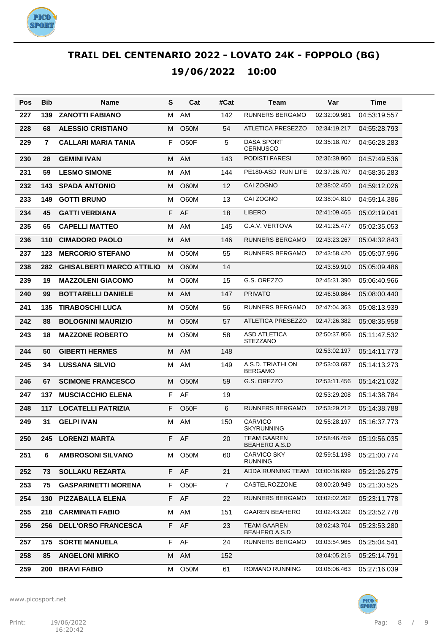

| Pos | <b>Bib</b>     | Name                             | S  | Cat               | #Cat           | Team                                       | Var          | Time         |
|-----|----------------|----------------------------------|----|-------------------|----------------|--------------------------------------------|--------------|--------------|
| 227 | 139            | <b>ZANOTTI FABIANO</b>           | м  | AM.               | 142            | RUNNERS BERGAMO                            | 02:32:09.981 | 04:53:19.557 |
| 228 | 68             | <b>ALESSIO CRISTIANO</b>         | м  | O <sub>5</sub> 0M | 54             | <b>ATLETICA PRESEZZO</b>                   | 02:34:19.217 | 04:55:28.793 |
| 229 | $\overline{7}$ | CALLARI MARIA TANIA              | F  | O <sub>5</sub> OF | 5              | DASA SPORT<br><b>CERNUSCO</b>              | 02:35:18.707 | 04:56:28.283 |
| 230 | 28             | <b>GEMINI IVAN</b>               | м  | AM                | 143            | PODISTI FARESI                             | 02:36:39.960 | 04:57:49.536 |
| 231 | 59             | <b>LESMO SIMONE</b>              | м  | AM                | 144            | PE180-ASD RUN LIFE                         | 02:37:26.707 | 04:58:36.283 |
| 232 | 143            | <b>SPADA ANTONIO</b>             | м  | <b>O60M</b>       | 12             | CAI ZOGNO                                  | 02:38:02.450 | 04:59:12.026 |
| 233 | 149            | <b>GOTTI BRUNO</b>               | м  | O60M              | 13             | CAI ZOGNO                                  | 02:38:04.810 | 04:59:14.386 |
| 234 | 45             | <b>GATTI VERDIANA</b>            | F  | AF                | 18             | <b>LIBERO</b>                              | 02:41:09.465 | 05:02:19.041 |
| 235 | 65             | <b>CAPELLI MATTEO</b>            | м  | AM                | 145            | G.A.V. VERTOVA                             | 02:41:25.477 | 05:02:35.053 |
| 236 | 110            | <b>CIMADORO PAOLO</b>            | M  | AM                | 146            | RUNNERS BERGAMO                            | 02:43:23.267 | 05:04:32.843 |
| 237 | 123            | <b>MERCORIO STEFANO</b>          | м  | <b>O50M</b>       | 55             | <b>RUNNERS BERGAMO</b>                     | 02:43:58.420 | 05:05:07.996 |
| 238 | 282            | <b>GHISALBERTI MARCO ATTILIO</b> | м  | <b>O60M</b>       | 14             |                                            | 02:43:59.910 | 05:05:09.486 |
| 239 | 19             | <b>MAZZOLENI GIACOMO</b>         | м  | O60M              | 15             | G.S. OREZZO                                | 02:45:31.390 | 05:06:40.966 |
| 240 | 99             | <b>BOTTARELLI DANIELE</b>        | M  | AM                | 147            | <b>PRIVATO</b>                             | 02:46:50.864 | 05:08:00.440 |
| 241 | 135            | <b>TIRABOSCHI LUCA</b>           | м  | <b>O50M</b>       | 56             | <b>RUNNERS BERGAMO</b>                     | 02:47:04.363 | 05:08:13.939 |
| 242 | 88             | <b>BOLOGNINI MAURIZIO</b>        | м  | O50M              | 57             | <b>ATLETICA PRESEZZO</b>                   | 02:47:26.382 | 05:08:35.958 |
| 243 | 18             | <b>MAZZONE ROBERTO</b>           | м  | <b>O50M</b>       | 58             | <b>ASD ATLETICA</b><br><b>STEZZANO</b>     | 02:50:37.956 | 05:11:47.532 |
| 244 | 50             | <b>GIBERTI HERMES</b>            | M  | AM                | 148            |                                            | 02:53:02.197 | 05:14:11.773 |
| 245 | 34             | <b>LUSSANA SILVIO</b>            | M  | AM                | 149            | A.S.D. TRIATHLON<br><b>BERGAMO</b>         | 02:53:03.697 | 05:14:13.273 |
| 246 | 67             | <b>SCIMONE FRANCESCO</b>         | м  | O <sub>5</sub> 0M | 59             | G.S. OREZZO                                | 02:53:11.456 | 05:14:21.032 |
| 247 | 137            | <b>MUSCIACCHIO ELENA</b>         | F  | AF                | 19             |                                            | 02:53:29.208 | 05:14:38.784 |
| 248 | 117            | <b>LOCATELLI PATRIZIA</b>        | F  | O <sub>5</sub> OF | 6              | RUNNERS BERGAMO                            | 02:53:29.212 | 05:14:38.788 |
| 249 | 31             | <b>GELPI IVAN</b>                | м  | AM                | 150            | <b>CARVICO</b><br><b>SKYRUNNING</b>        | 02:55:28.197 | 05:16:37.773 |
| 250 | 245            | <b>LORENZI MARTA</b>             |    | F AF              | 20             | <b>TEAM GAAREN</b><br><b>BEAHERO A.S.D</b> | 02:58:46.459 | 05:19:56.035 |
| 251 | 6              | <b>AMBROSONI SILVANO</b>         | М  | O50M              | 60             | <b>CARVICO SKY</b><br><b>RUNNING</b>       | 02:59:51.198 | 05:21:00.774 |
| 252 | 73             | <b>SOLLAKU REZARTA</b>           |    | F AF              | 21             | <b>ADDA RUNNING TEAM</b>                   | 03:00:16.699 | 05:21:26.275 |
| 253 | 75             | <b>GASPARINETTI MORENA</b>       | F. | O50F              | $\overline{7}$ | CASTELROZZONE                              | 03:00:20.949 | 05:21:30.525 |
| 254 | 130            | <b>PIZZABALLA ELENA</b>          | F. | AF                | 22             | RUNNERS BERGAMO                            | 03:02:02.202 | 05:23:11.778 |
| 255 | 218            | <b>CARMINATI FABIO</b>           | м  | AM                | 151            | <b>GAAREN BEAHERO</b>                      | 03:02:43.202 | 05:23:52.778 |
| 256 | 256            | <b>DELL'ORSO FRANCESCA</b>       | F. | AF                | 23             | <b>TEAM GAAREN</b><br>BEAHERO A.S.D        | 03:02:43.704 | 05:23:53.280 |
| 257 | 175            | <b>SORTE MANUELA</b>             |    | F AF              | 24             | RUNNERS BERGAMO                            | 03:03:54.965 | 05:25:04.541 |
| 258 | 85             | <b>ANGELONI MIRKO</b>            | М  | AM                | 152            |                                            | 03:04:05.215 | 05:25:14.791 |
| 259 | 200            | <b>BRAVI FABIO</b>               | м  | O50M              | 61             | ROMANO RUNNING                             | 03:06:06.463 | 05:27:16.039 |

www.picosport.net

Print: 19/06/2022 Print: 19/06/2022 Pag: 8 / 9 16:20:42